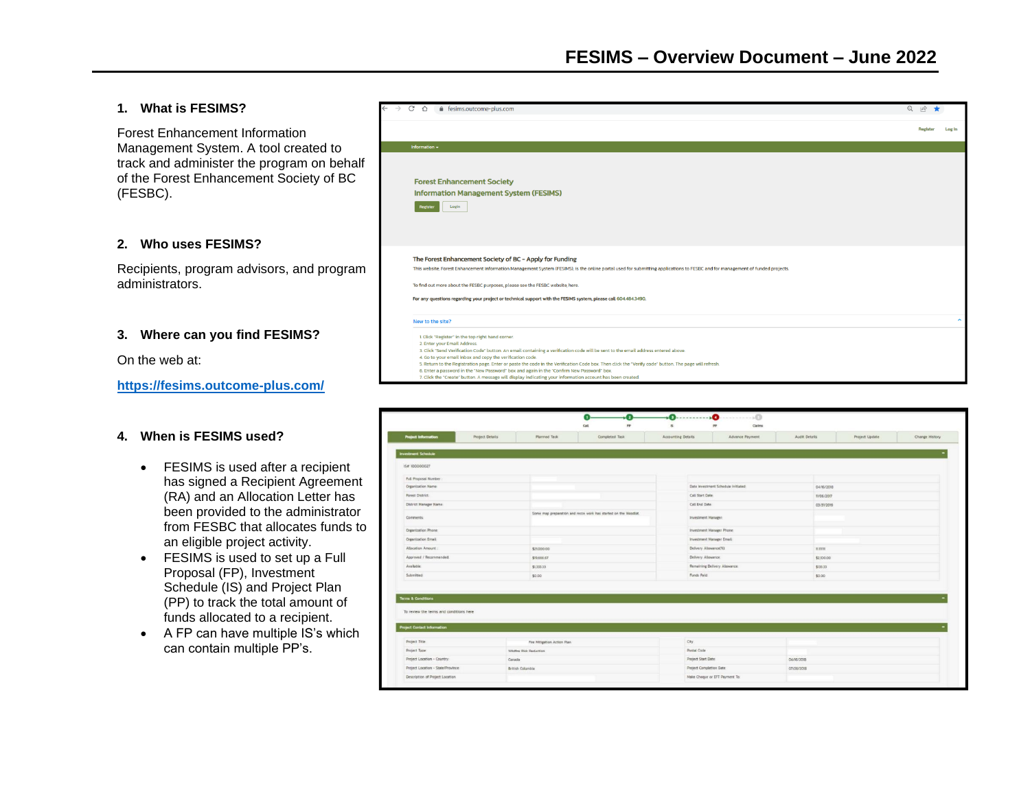# **1. What is FESIMS?**

Forest Enhancement Information Management System. A tool created to track and administer the program on behalf of the Forest Enhancement Society of BC (FESBC).

### **2. Who uses FESIMS?**

Recipients, program advisors, and program administrators.

# **3. Where can you find FESIMS?**

On the web at:

**<https://fesims.outcome-plus.com/>**

#### **4. When is FESIMS used?**

- FESIMS is used after a recipient has signed a Recipient Agreement (RA) and an Allocation Letter has been provided to the administrator from FESBC that allocates funds to an eligible project activity.
- FESIMS is used to set up a Full Proposal (FP), Investment Schedule (IS) and Project Plan (PP) to track the total amount of funds allocated to a recipient.
- A FP can have multiple IS's which can contain multiple PP's.

| C<br>fesims.outcome-plus.com<br>$\triangle$                                                                                                                                                                                                                                                                                                                                                                                                                                                                                                                                                                                                              | $Q \neq \emptyset$ |
|----------------------------------------------------------------------------------------------------------------------------------------------------------------------------------------------------------------------------------------------------------------------------------------------------------------------------------------------------------------------------------------------------------------------------------------------------------------------------------------------------------------------------------------------------------------------------------------------------------------------------------------------------------|--------------------|
|                                                                                                                                                                                                                                                                                                                                                                                                                                                                                                                                                                                                                                                          | Register<br>Log In |
| Information -                                                                                                                                                                                                                                                                                                                                                                                                                                                                                                                                                                                                                                            |                    |
| <b>Forest Enhancement Society</b><br><b>Information Management System (FESIMS)</b><br>Register<br>Login                                                                                                                                                                                                                                                                                                                                                                                                                                                                                                                                                  |                    |
| The Forest Enhancement Society of BC - Apply for Funding<br>This website, Forest Enhancement Information Management System (FESIMS), is the online portal used for submitting applications to FESBC and for management of funded projects.<br>To find out more about the FESBC purposes, please see the FESBC website, here.<br>For any questions regarding your project or technical support with the FESIMS system, please call 604.484.3490.                                                                                                                                                                                                          |                    |
| New to the site?                                                                                                                                                                                                                                                                                                                                                                                                                                                                                                                                                                                                                                         | $\blacktriangle$   |
| 1 Click "Register" in the top right hand corner.<br>2. Enter your Email Address.<br>3. Click "Send Verification Code" button. An email containing a verification code will be sent to the email address entered above.<br>4. Go to your email inbox and copy the verification code.<br>5. Return to the Registration page. Enter or paste the code in the Verification Code box. Then click the "Verify code" button. The page will refresh.<br>6. Enter a password in the "New Password" box and again in the "Confirm New Password" box.<br>7. Click the "Create" button. A message will display indicating your information account has been created. |                    |

|                                                                                                                |                 |                             | Cat<br>$_{\rm FP}$                                              | is.                | pp<br>Claims                        |               |                |                |
|----------------------------------------------------------------------------------------------------------------|-----------------|-----------------------------|-----------------------------------------------------------------|--------------------|-------------------------------------|---------------|----------------|----------------|
| <b>Project Information</b>                                                                                     | Project Details | Planned Task                | Completed Task                                                  | Accounting Details | Advance Payment                     | Audit Details | Project Update | Change History |
| Investment Schedule                                                                                            |                 |                             |                                                                 |                    |                                     |               |                |                |
| IS# 100000027                                                                                                  |                 |                             |                                                                 |                    |                                     |               |                |                |
| Full Proposal Number                                                                                           |                 |                             |                                                                 |                    |                                     |               |                |                |
| Organization Name:                                                                                             |                 |                             |                                                                 |                    | Date investment Schedule Initiated: | 04/16/2018    |                |                |
| Forest District                                                                                                |                 |                             |                                                                 | Call Start Date:   |                                     | TV06/2017     |                |                |
| District Manager Name:                                                                                         |                 |                             |                                                                 | Call End Date:     |                                     | 03/31/2019    |                |                |
| Comments:                                                                                                      |                 |                             | Some map preparation and recce work has started on the Woodlot. |                    | Investment Manager:                 |               |                |                |
| Organization Phone                                                                                             |                 |                             |                                                                 |                    | Investment Manager Phone:           |               |                |                |
| Organization Email:                                                                                            |                 |                             |                                                                 |                    | Investment Manager Emall:           |               |                |                |
| Allocation Amount                                                                                              |                 | \$21,000.00                 |                                                                 |                    | Delivery Atlowance(%)               | name.         |                |                |
| Approved / Recommended:                                                                                        |                 | \$19,666.67                 |                                                                 |                    | Delivery Allowance                  | \$2,000.00    |                |                |
| Available                                                                                                      |                 | \$1,933.33                  |                                                                 |                    | Remaining Delivery Atlawance        | \$133.33      |                |                |
| Submitted                                                                                                      |                 | \$0.00                      |                                                                 | Funds Paid         |                                     | \$0.00        |                |                |
| <b>Terms &amp; Conditions</b><br>To review the terms and conditions here<br><b>Project Contact Information</b> |                 |                             |                                                                 |                    |                                     |               |                |                |
| Project Title                                                                                                  |                 | Fire Mitigation Action Plan |                                                                 | City               |                                     |               |                |                |
| Project Type:                                                                                                  |                 | Wildfire Rick Reduction     |                                                                 | Postal Code        |                                     |               |                |                |
| Project Location - Country,                                                                                    | Canada          |                             |                                                                 | Project Start Date |                                     | 04/16/2018    |                |                |
| Project Location - State/Province                                                                              |                 | British Columbia            |                                                                 |                    | Project Completion Date:            | 07/26/2018    |                |                |
|                                                                                                                |                 |                             |                                                                 |                    | Make Cheque or EFT Payment To:      |               |                |                |